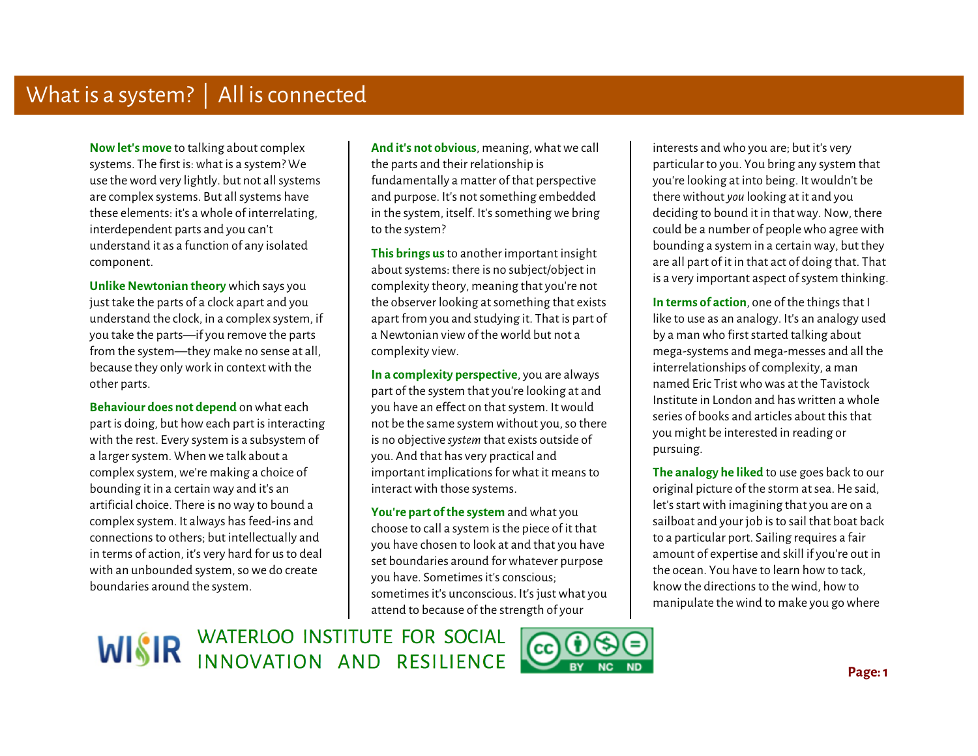**Now let's move** to talking about complex systems. The first is: what is a system? We use the word very lightly. but not all systems are complex systems. But all systems have these elements: it's a whole of interrelating, interdependent parts and you can't understand it as a function of any isolated component.

 **Unlike Newtonian theory** which says you just take the parts of a clock apart and you understand the clock, in a complex system, if you take the parts—if you remove the parts from the system—they make no sense at all, because they only work in context with the other parts.

**Behaviour does not depend** on what each part is doing, but how each part is interacting with the rest. Every system is a subsystem of a larger system. When we talk about a complex system, we're making a choice of bounding it in a certain way and it's an artificial choice. There is no way to bound a complex system. It always has feed-ins and connections to others; but intellectually and in terms of action, it's very hard for us to deal with an unbounded system, so we do create boundaries around the system.

**And it's not obvious**, meaning, what we call the parts and their relationship is fundamentally a matter of that perspective and purpose. It's not something embedded in the system, itself. It's something we bring to the system?

**This brings us** to another important insight about systems: there is no subject/object in complexity theory, meaning that you're not the observer looking at something that exists apart from you and studying it. That is part of a Newtonian view of the world but not a complexity view.

**In a complexity perspective**, you are always part of the system that you're looking at and you have an effect on that system. It would not be the same system without you, so there is no objective *system* that exists outside of you. And that has very practical and important implications for what it means to interact with those systems.

**You're part of the system** and what you choose to call a system is the piece of it that you have chosen to look at and that you have set boundaries around for whatever purpose you have. Sometimes it's conscious; sometimes it's unconscious. It's just what you attend to because of the strength of your

interests and who you are; but it's very particular to you. You bring any system that you're looking at into being. It wouldn't be there without *you* looking at it and you deciding to bound it in that way. Now, there could be a number of people who agree with bounding a system in a certain way, but they are all part of it in that act of doing that. That is a very important aspect of system thinking.

 $\ddot{\phantom{a}}$ **In terms of action**, one of the things that I like to use as an analogy. It's an analogy used by a man who first started talking about mega-systems and mega-messes and all the interrelationships of complexity, a man named Eric Trist who was at the Tavistock Institute in London and has written a whole series of books and articles about this that you might be interested in reading or pursuing.

 **The analogy he liked** to use goes back to our original picture of the storm at sea. He said, let's start with imagining that you are on a sailboat and your job is to sail that boat back to a particular port. Sailing requires a fair amount of expertise and skill if you're out in the ocean. You have to learn how to tack, know the directions to the wind, how to manipulate the wind to make you go where

WISIR WATERLOO INSTITUTE FOR SOCIAL